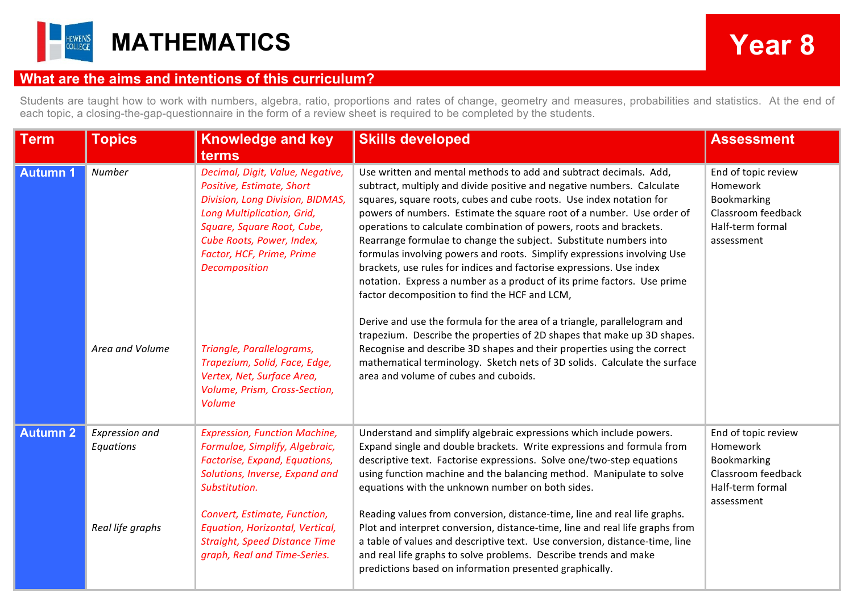

## **What are the aims and intentions of this curriculum?**

Students are taught how to work with numbers, algebra, ratio, proportions and rates of change, geometry and measures, probabilities and statistics. At the end of each topic, a closing-the-gap-questionnaire in the form of a review sheet is required to be completed by the students.

| <b>Term</b>     | <b>Topics</b>               | <b>Knowledge and key</b><br>terms                                                                                                                                                                                                        | <b>Skills developed</b>                                                                                                                                                                                                                                                                                                                                                                                                                                                                                                                                                                                                                                                                                               | <b>Assessment</b>                                                                                      |
|-----------------|-----------------------------|------------------------------------------------------------------------------------------------------------------------------------------------------------------------------------------------------------------------------------------|-----------------------------------------------------------------------------------------------------------------------------------------------------------------------------------------------------------------------------------------------------------------------------------------------------------------------------------------------------------------------------------------------------------------------------------------------------------------------------------------------------------------------------------------------------------------------------------------------------------------------------------------------------------------------------------------------------------------------|--------------------------------------------------------------------------------------------------------|
| <b>Autumn1</b>  | Number                      | Decimal, Digit, Value, Negative,<br>Positive, Estimate, Short<br>Division, Long Division, BIDMAS,<br>Long Multiplication, Grid,<br>Square, Square Root, Cube,<br>Cube Roots, Power, Index,<br>Factor, HCF, Prime, Prime<br>Decomposition | Use written and mental methods to add and subtract decimals. Add,<br>subtract, multiply and divide positive and negative numbers. Calculate<br>squares, square roots, cubes and cube roots. Use index notation for<br>powers of numbers. Estimate the square root of a number. Use order of<br>operations to calculate combination of powers, roots and brackets.<br>Rearrange formulae to change the subject. Substitute numbers into<br>formulas involving powers and roots. Simplify expressions involving Use<br>brackets, use rules for indices and factorise expressions. Use index<br>notation. Express a number as a product of its prime factors. Use prime<br>factor decomposition to find the HCF and LCM, | End of topic review<br>Homework<br>Bookmarking<br>Classroom feedback<br>Half-term formal<br>assessment |
|                 | Area and Volume             | Triangle, Parallelograms,<br>Trapezium, Solid, Face, Edge,<br>Vertex, Net, Surface Area,<br>Volume, Prism, Cross-Section,<br><b>Volume</b>                                                                                               | Derive and use the formula for the area of a triangle, parallelogram and<br>trapezium. Describe the properties of 2D shapes that make up 3D shapes.<br>Recognise and describe 3D shapes and their properties using the correct<br>mathematical terminology. Sketch nets of 3D solids. Calculate the surface<br>area and volume of cubes and cuboids.                                                                                                                                                                                                                                                                                                                                                                  |                                                                                                        |
| <b>Autumn 2</b> | Expression and<br>Equations | <b>Expression, Function Machine,</b><br>Formulae, Simplify, Algebraic,<br>Factorise, Expand, Equations,<br>Solutions, Inverse, Expand and<br>Substitution.                                                                               | Understand and simplify algebraic expressions which include powers.<br>Expand single and double brackets. Write expressions and formula from<br>descriptive text. Factorise expressions. Solve one/two-step equations<br>using function machine and the balancing method. Manipulate to solve<br>equations with the unknown number on both sides.                                                                                                                                                                                                                                                                                                                                                                     | End of topic review<br>Homework<br>Bookmarking<br>Classroom feedback<br>Half-term formal<br>assessment |
|                 | Real life graphs            | Convert, Estimate, Function,<br>Equation, Horizontal, Vertical,<br><b>Straight, Speed Distance Time</b><br>graph, Real and Time-Series.                                                                                                  | Reading values from conversion, distance-time, line and real life graphs.<br>Plot and interpret conversion, distance-time, line and real life graphs from<br>a table of values and descriptive text. Use conversion, distance-time, line<br>and real life graphs to solve problems. Describe trends and make<br>predictions based on information presented graphically.                                                                                                                                                                                                                                                                                                                                               |                                                                                                        |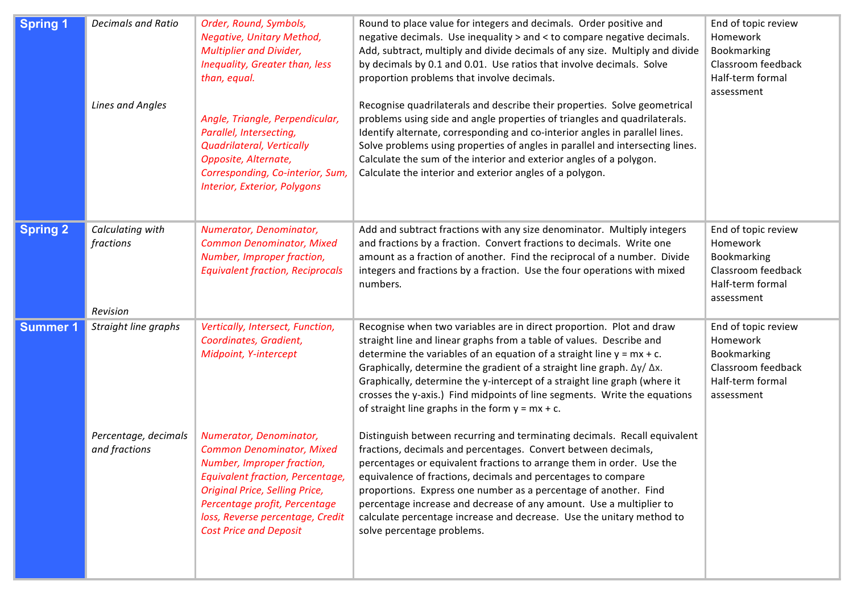| <b>Spring 1</b> | <b>Decimals and Ratio</b><br><b>Lines and Angles</b>          | Order, Round, Symbols,<br>Negative, Unitary Method,<br><b>Multiplier and Divider,</b><br>Inequality, Greater than, less<br>than, equal.<br>Angle, Triangle, Perpendicular,<br>Parallel, Intersecting,<br>Quadrilateral, Vertically<br>Opposite, Alternate,<br>Corresponding, Co-interior, Sum,<br>Interior, Exterior, Polygons                                             | Round to place value for integers and decimals. Order positive and<br>negative decimals. Use inequality > and < to compare negative decimals.<br>Add, subtract, multiply and divide decimals of any size. Multiply and divide<br>by decimals by 0.1 and 0.01. Use ratios that involve decimals. Solve<br>proportion problems that involve decimals.<br>Recognise quadrilaterals and describe their properties. Solve geometrical<br>problems using side and angle properties of triangles and quadrilaterals.<br>Identify alternate, corresponding and co-interior angles in parallel lines.<br>Solve problems using properties of angles in parallel and intersecting lines.<br>Calculate the sum of the interior and exterior angles of a polygon.<br>Calculate the interior and exterior angles of a polygon.                                                                                                                                                                                                                                                             | End of topic review<br>Homework<br>Bookmarking<br>Classroom feedback<br>Half-term formal<br>assessment |
|-----------------|---------------------------------------------------------------|----------------------------------------------------------------------------------------------------------------------------------------------------------------------------------------------------------------------------------------------------------------------------------------------------------------------------------------------------------------------------|------------------------------------------------------------------------------------------------------------------------------------------------------------------------------------------------------------------------------------------------------------------------------------------------------------------------------------------------------------------------------------------------------------------------------------------------------------------------------------------------------------------------------------------------------------------------------------------------------------------------------------------------------------------------------------------------------------------------------------------------------------------------------------------------------------------------------------------------------------------------------------------------------------------------------------------------------------------------------------------------------------------------------------------------------------------------------|--------------------------------------------------------------------------------------------------------|
| <b>Spring 2</b> | Calculating with<br>fractions<br>Revision                     | Numerator, Denominator,<br><b>Common Denominator, Mixed</b><br>Number, Improper fraction,<br><b>Equivalent fraction, Reciprocals</b>                                                                                                                                                                                                                                       | Add and subtract fractions with any size denominator. Multiply integers<br>and fractions by a fraction. Convert fractions to decimals. Write one<br>amount as a fraction of another. Find the reciprocal of a number. Divide<br>integers and fractions by a fraction. Use the four operations with mixed<br>numbers.                                                                                                                                                                                                                                                                                                                                                                                                                                                                                                                                                                                                                                                                                                                                                         | End of topic review<br>Homework<br>Bookmarking<br>Classroom feedback<br>Half-term formal<br>assessment |
| <b>Summer 1</b> | Straight line graphs<br>Percentage, decimals<br>and fractions | Vertically, Intersect, Function,<br>Coordinates, Gradient,<br>Midpoint, Y-intercept<br>Numerator, Denominator,<br><b>Common Denominator, Mixed</b><br>Number, Improper fraction,<br><b>Equivalent fraction, Percentage,</b><br><b>Original Price, Selling Price,</b><br>Percentage profit, Percentage<br>loss, Reverse percentage, Credit<br><b>Cost Price and Deposit</b> | Recognise when two variables are in direct proportion. Plot and draw<br>straight line and linear graphs from a table of values. Describe and<br>determine the variables of an equation of a straight line $y = mx + c$ .<br>Graphically, determine the gradient of a straight line graph. $\Delta y / \Delta x$ .<br>Graphically, determine the y-intercept of a straight line graph (where it<br>crosses the y-axis.) Find midpoints of line segments. Write the equations<br>of straight line graphs in the form $y = mx + c$ .<br>Distinguish between recurring and terminating decimals. Recall equivalent<br>fractions, decimals and percentages. Convert between decimals,<br>percentages or equivalent fractions to arrange them in order. Use the<br>equivalence of fractions, decimals and percentages to compare<br>proportions. Express one number as a percentage of another. Find<br>percentage increase and decrease of any amount. Use a multiplier to<br>calculate percentage increase and decrease. Use the unitary method to<br>solve percentage problems. | End of topic review<br>Homework<br>Bookmarking<br>Classroom feedback<br>Half-term formal<br>assessment |